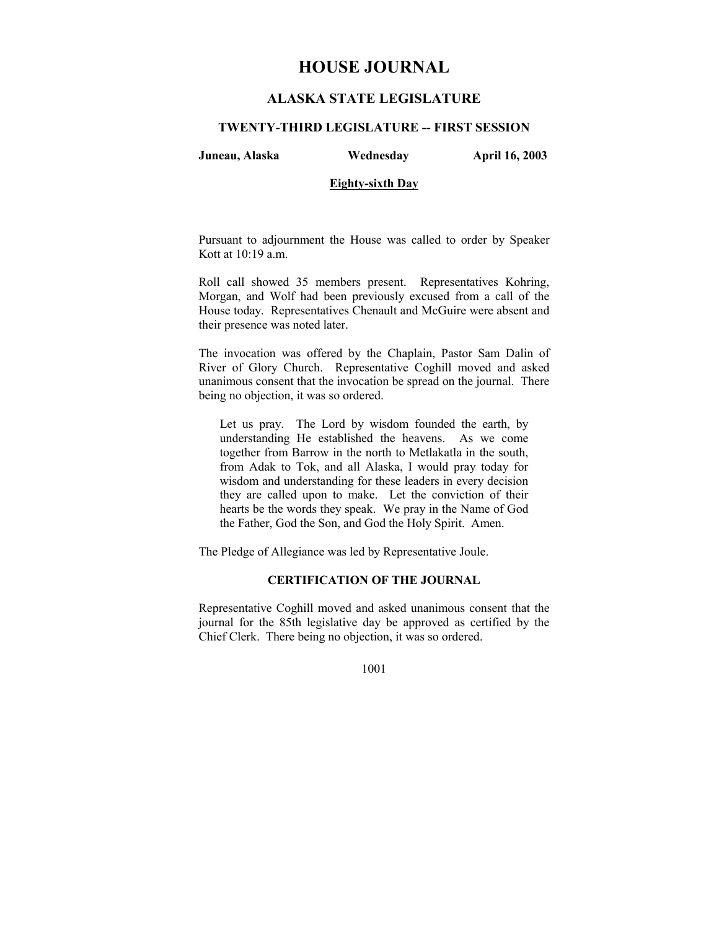# **HOUSE JOURNAL**

# **ALASKA STATE LEGISLATURE**

#### **TWENTY-THIRD LEGISLATURE -- FIRST SESSION**

**Juneau, Alaska Wednesday April 16, 2003** 

# **Eighty-sixth Day**

Pursuant to adjournment the House was called to order by Speaker Kott at 10:19 a.m.

Roll call showed 35 members present. Representatives Kohring, Morgan, and Wolf had been previously excused from a call of the House today. Representatives Chenault and McGuire were absent and their presence was noted later.

The invocation was offered by the Chaplain, Pastor Sam Dalin of River of Glory Church. Representative Coghill moved and asked unanimous consent that the invocation be spread on the journal. There being no objection, it was so ordered.

Let us pray. The Lord by wisdom founded the earth, by understanding He established the heavens. As we come together from Barrow in the north to Metlakatla in the south, from Adak to Tok, and all Alaska, I would pray today for wisdom and understanding for these leaders in every decision they are called upon to make. Let the conviction of their hearts be the words they speak. We pray in the Name of God the Father, God the Son, and God the Holy Spirit. Amen.

The Pledge of Allegiance was led by Representative Joule.

# **CERTIFICATION OF THE JOURNAL**

Representative Coghill moved and asked unanimous consent that the journal for the 85th legislative day be approved as certified by the Chief Clerk. There being no objection, it was so ordered.

1001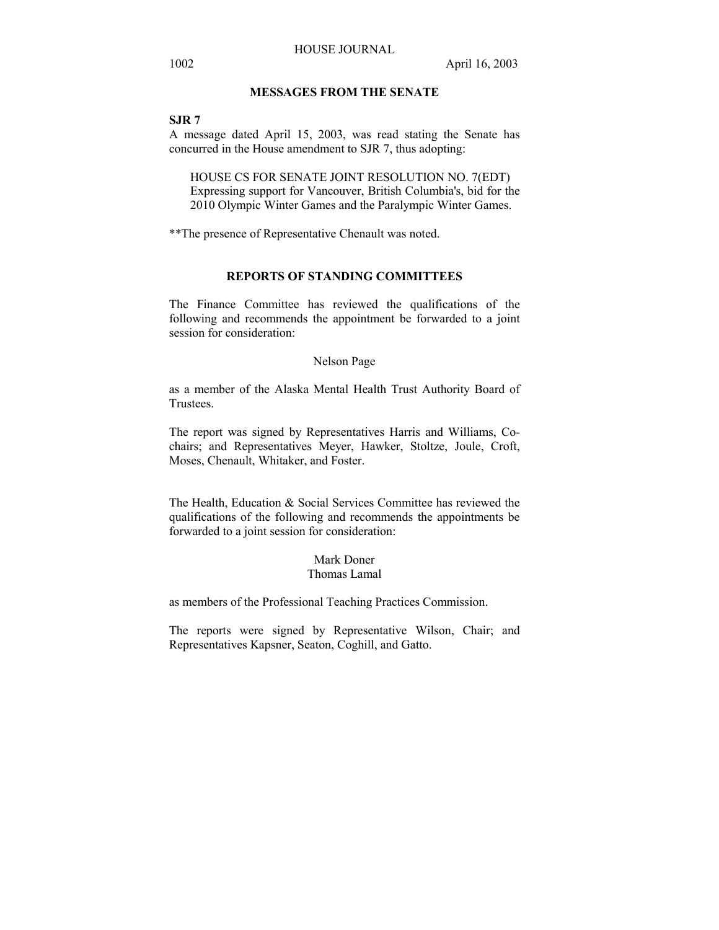# **MESSAGES FROM THE SENATE**

#### **SJR 7**

A message dated April 15, 2003, was read stating the Senate has concurred in the House amendment to SJR 7, thus adopting:

HOUSE CS FOR SENATE JOINT RESOLUTION NO. 7(EDT) Expressing support for Vancouver, British Columbia's, bid for the 2010 Olympic Winter Games and the Paralympic Winter Games.

\*\*The presence of Representative Chenault was noted.

#### **REPORTS OF STANDING COMMITTEES**

The Finance Committee has reviewed the qualifications of the following and recommends the appointment be forwarded to a joint session for consideration:

#### Nelson Page

as a member of the Alaska Mental Health Trust Authority Board of Trustees.

The report was signed by Representatives Harris and Williams, Cochairs; and Representatives Meyer, Hawker, Stoltze, Joule, Croft, Moses, Chenault, Whitaker, and Foster.

The Health, Education & Social Services Committee has reviewed the qualifications of the following and recommends the appointments be forwarded to a joint session for consideration:

#### Mark Doner Thomas Lamal

as members of the Professional Teaching Practices Commission.

The reports were signed by Representative Wilson, Chair; and Representatives Kapsner, Seaton, Coghill, and Gatto.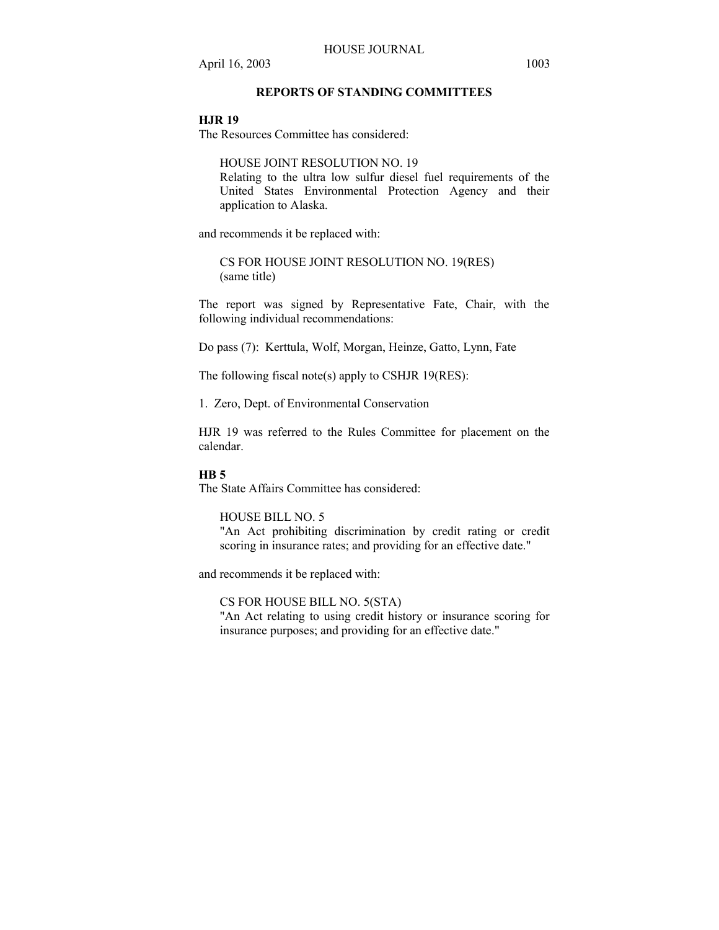# **REPORTS OF STANDING COMMITTEES**

# **HJR 19**

The Resources Committee has considered:

HOUSE JOINT RESOLUTION NO. 19 Relating to the ultra low sulfur diesel fuel requirements of the United States Environmental Protection Agency and their application to Alaska.

and recommends it be replaced with:

CS FOR HOUSE JOINT RESOLUTION NO. 19(RES) (same title)

The report was signed by Representative Fate, Chair, with the following individual recommendations:

Do pass (7): Kerttula, Wolf, Morgan, Heinze, Gatto, Lynn, Fate

The following fiscal note(s) apply to CSHJR 19(RES):

1. Zero, Dept. of Environmental Conservation

HJR 19 was referred to the Rules Committee for placement on the calendar.

#### **HB 5**

The State Affairs Committee has considered:

## HOUSE BILL NO. 5

"An Act prohibiting discrimination by credit rating or credit scoring in insurance rates; and providing for an effective date."

and recommends it be replaced with:

CS FOR HOUSE BILL NO. 5(STA) "An Act relating to using credit history or insurance scoring for insurance purposes; and providing for an effective date."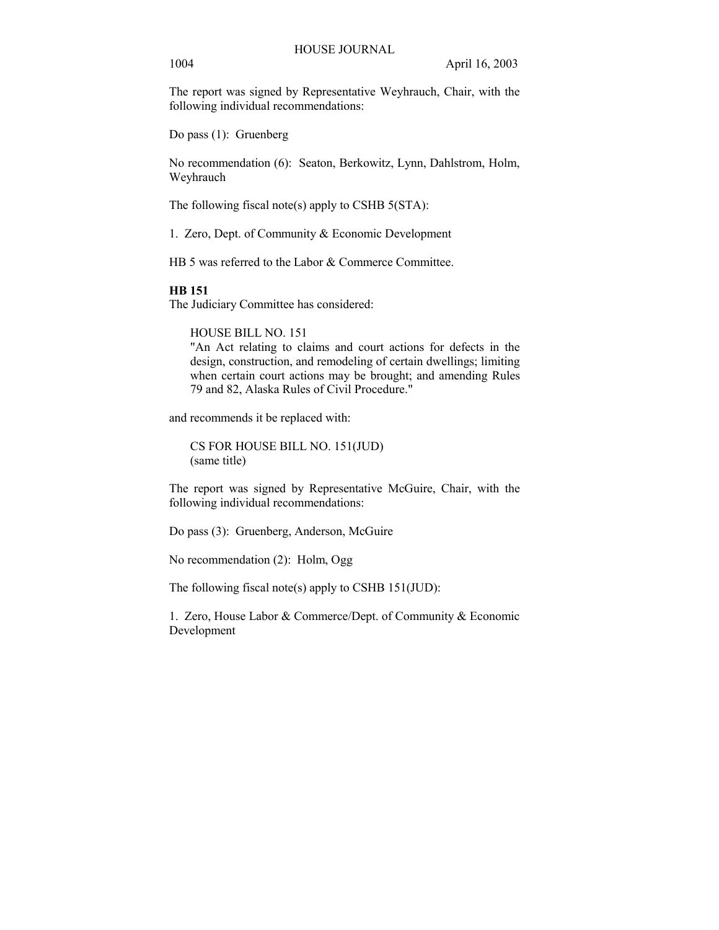The report was signed by Representative Weyhrauch, Chair, with the following individual recommendations:

Do pass (1): Gruenberg

No recommendation (6): Seaton, Berkowitz, Lynn, Dahlstrom, Holm, Weyhrauch

The following fiscal note(s) apply to CSHB 5(STA):

1. Zero, Dept. of Community & Economic Development

HB 5 was referred to the Labor & Commerce Committee.

#### **HB 151**

The Judiciary Committee has considered:

HOUSE BILL NO. 151

"An Act relating to claims and court actions for defects in the design, construction, and remodeling of certain dwellings; limiting when certain court actions may be brought; and amending Rules 79 and 82, Alaska Rules of Civil Procedure."

and recommends it be replaced with:

CS FOR HOUSE BILL NO. 151(JUD) (same title)

The report was signed by Representative McGuire, Chair, with the following individual recommendations:

Do pass (3): Gruenberg, Anderson, McGuire

No recommendation (2): Holm, Ogg

The following fiscal note(s) apply to CSHB 151(JUD):

1. Zero, House Labor & Commerce/Dept. of Community & Economic Development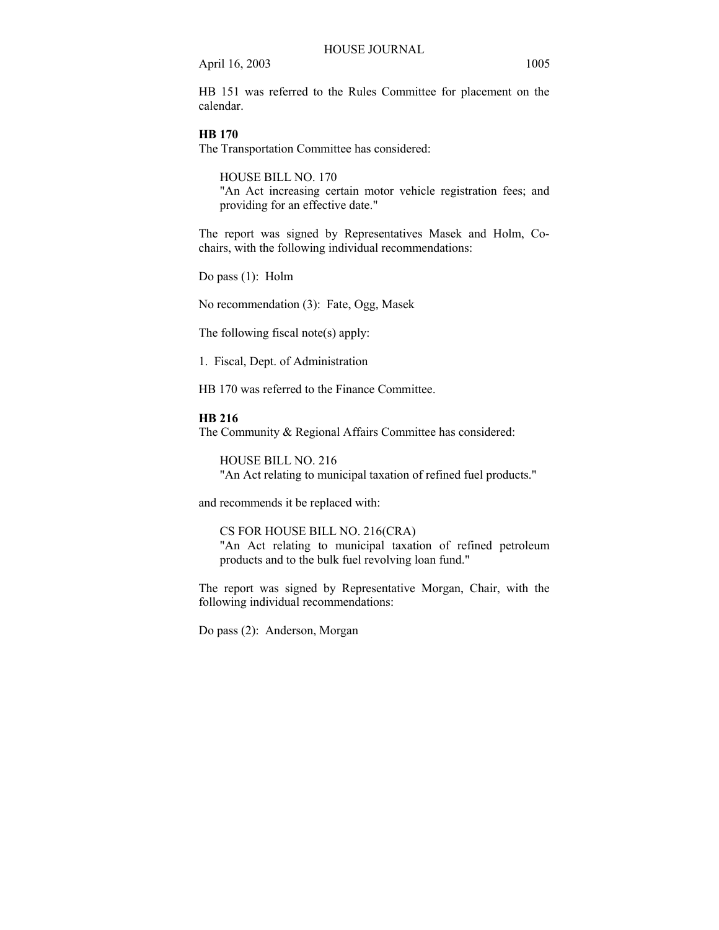HB 151 was referred to the Rules Committee for placement on the calendar.

## **HB 170**

The Transportation Committee has considered:

HOUSE BILL NO. 170 "An Act increasing certain motor vehicle registration fees; and providing for an effective date."

The report was signed by Representatives Masek and Holm, Cochairs, with the following individual recommendations:

Do pass (1): Holm

No recommendation (3): Fate, Ogg, Masek

The following fiscal note(s) apply:

1. Fiscal, Dept. of Administration

HB 170 was referred to the Finance Committee.

#### **HB 216**

The Community & Regional Affairs Committee has considered:

HOUSE BILL NO. 216 "An Act relating to municipal taxation of refined fuel products."

and recommends it be replaced with:

CS FOR HOUSE BILL NO. 216(CRA) "An Act relating to municipal taxation of refined petroleum products and to the bulk fuel revolving loan fund."

The report was signed by Representative Morgan, Chair, with the following individual recommendations:

Do pass (2): Anderson, Morgan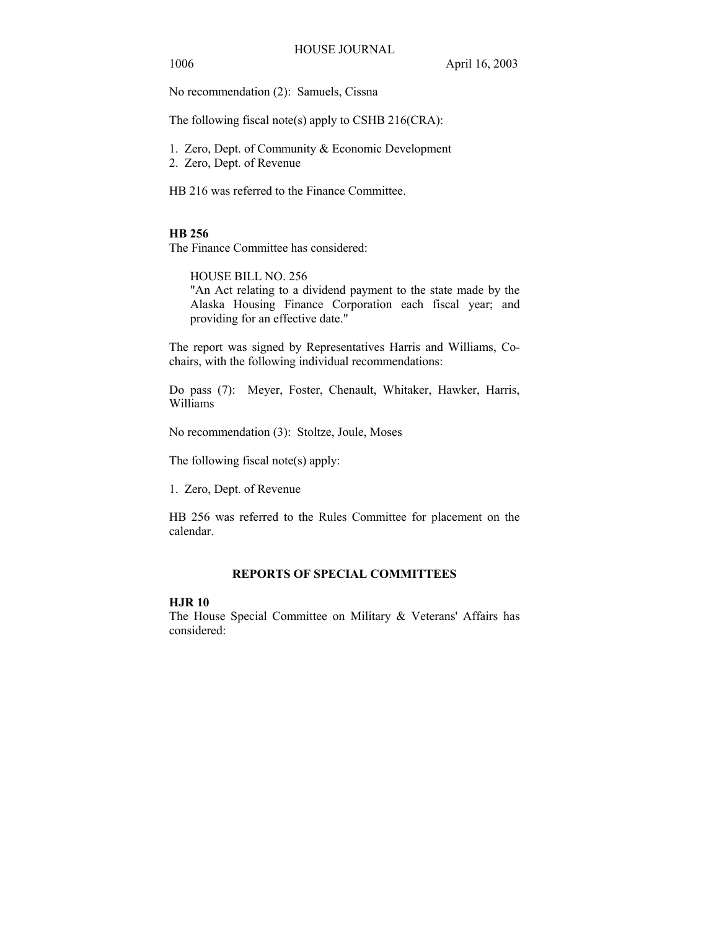1006 April 16, 2003

No recommendation (2): Samuels, Cissna

The following fiscal note(s) apply to CSHB 216(CRA):

1. Zero, Dept. of Community & Economic Development

2. Zero, Dept. of Revenue

HB 216 was referred to the Finance Committee.

# **HB 256**

The Finance Committee has considered:

HOUSE BILL NO. 256

"An Act relating to a dividend payment to the state made by the Alaska Housing Finance Corporation each fiscal year; and providing for an effective date."

The report was signed by Representatives Harris and Williams, Cochairs, with the following individual recommendations:

Do pass (7): Meyer, Foster, Chenault, Whitaker, Hawker, Harris, Williams

No recommendation (3): Stoltze, Joule, Moses

The following fiscal note(s) apply:

1. Zero, Dept. of Revenue

HB 256 was referred to the Rules Committee for placement on the calendar.

# **REPORTS OF SPECIAL COMMITTEES**

# **HJR 10**

The House Special Committee on Military & Veterans' Affairs has considered: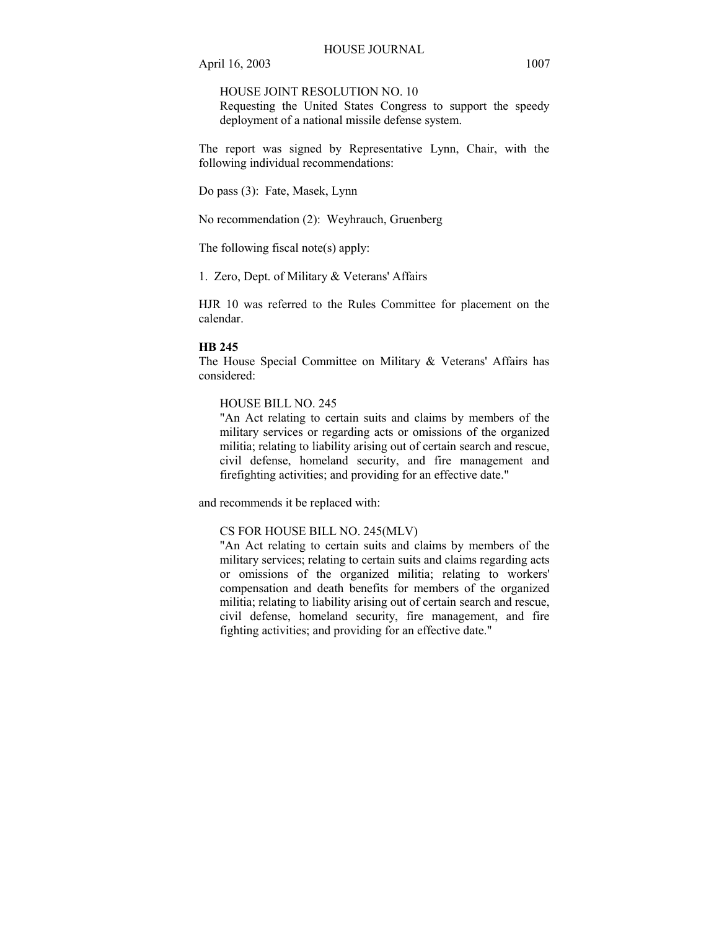HOUSE JOINT RESOLUTION NO. 10

Requesting the United States Congress to support the speedy deployment of a national missile defense system.

The report was signed by Representative Lynn, Chair, with the following individual recommendations:

Do pass (3): Fate, Masek, Lynn

No recommendation (2): Weyhrauch, Gruenberg

The following fiscal note(s) apply:

1. Zero, Dept. of Military & Veterans' Affairs

HJR 10 was referred to the Rules Committee for placement on the calendar.

#### **HB 245**

The House Special Committee on Military & Veterans' Affairs has considered:

HOUSE BILL NO. 245

"An Act relating to certain suits and claims by members of the military services or regarding acts or omissions of the organized militia; relating to liability arising out of certain search and rescue, civil defense, homeland security, and fire management and firefighting activities; and providing for an effective date."

and recommends it be replaced with:

## CS FOR HOUSE BILL NO. 245(MLV)

"An Act relating to certain suits and claims by members of the military services; relating to certain suits and claims regarding acts or omissions of the organized militia; relating to workers' compensation and death benefits for members of the organized militia; relating to liability arising out of certain search and rescue, civil defense, homeland security, fire management, and fire fighting activities; and providing for an effective date."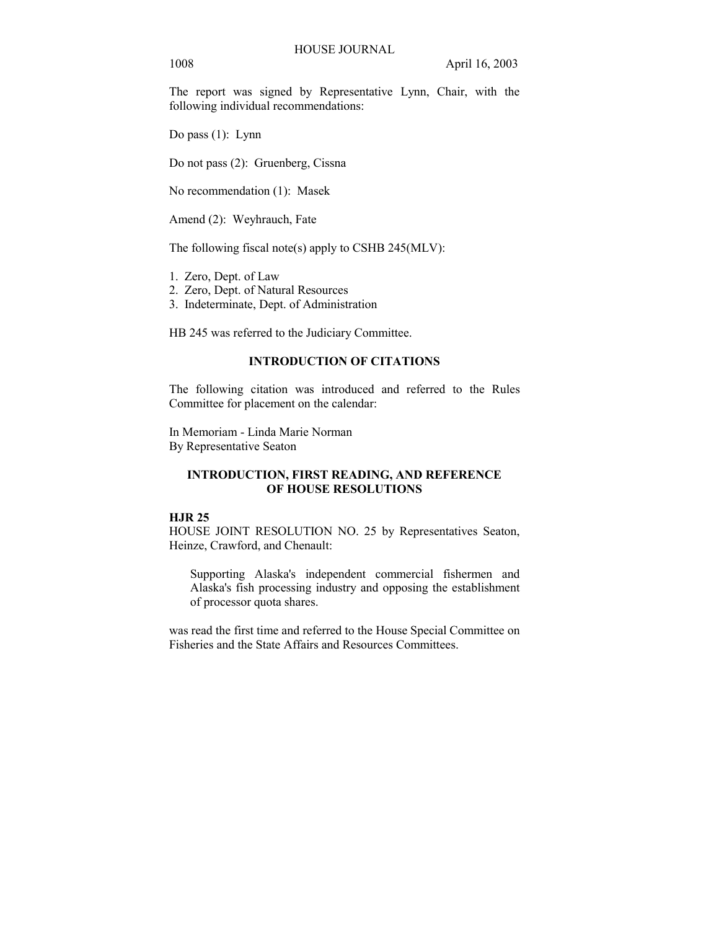The report was signed by Representative Lynn, Chair, with the following individual recommendations:

Do pass (1): Lynn

Do not pass (2): Gruenberg, Cissna

No recommendation (1): Masek

Amend (2): Weyhrauch, Fate

The following fiscal note(s) apply to CSHB 245(MLV):

- 1. Zero, Dept. of Law
- 2. Zero, Dept. of Natural Resources
- 3. Indeterminate, Dept. of Administration

HB 245 was referred to the Judiciary Committee.

# **INTRODUCTION OF CITATIONS**

The following citation was introduced and referred to the Rules Committee for placement on the calendar:

In Memoriam - Linda Marie Norman By Representative Seaton

# **INTRODUCTION, FIRST READING, AND REFERENCE OF HOUSE RESOLUTIONS**

# **HJR 25**

HOUSE JOINT RESOLUTION NO. 25 by Representatives Seaton, Heinze, Crawford, and Chenault:

Supporting Alaska's independent commercial fishermen and Alaska's fish processing industry and opposing the establishment of processor quota shares.

was read the first time and referred to the House Special Committee on Fisheries and the State Affairs and Resources Committees.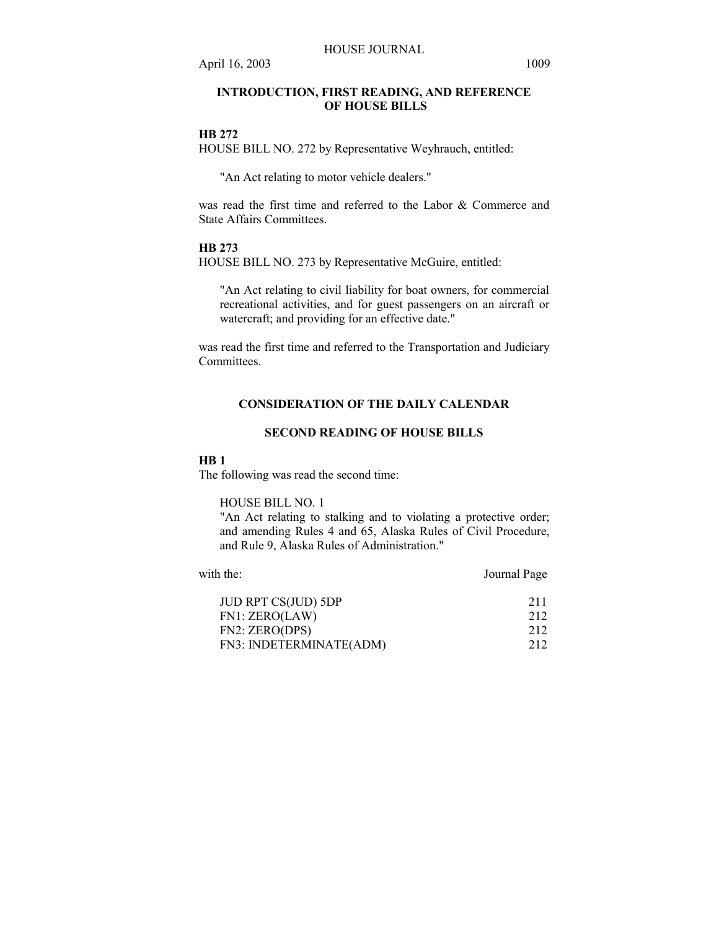# **INTRODUCTION, FIRST READING, AND REFERENCE OF HOUSE BILLS**

#### **HB 272**

HOUSE BILL NO. 272 by Representative Weyhrauch, entitled:

"An Act relating to motor vehicle dealers."

was read the first time and referred to the Labor & Commerce and State Affairs Committees.

#### **HB 273**

HOUSE BILL NO. 273 by Representative McGuire, entitled:

"An Act relating to civil liability for boat owners, for commercial recreational activities, and for guest passengers on an aircraft or watercraft; and providing for an effective date."

was read the first time and referred to the Transportation and Judiciary Committees.

# **CONSIDERATION OF THE DAILY CALENDAR**

# **SECOND READING OF HOUSE BILLS**

#### **HB 1**

The following was read the second time:

HOUSE BILL NO. 1

"An Act relating to stalking and to violating a protective order; and amending Rules 4 and 65, Alaska Rules of Civil Procedure, and Rule 9, Alaska Rules of Administration."

with the: Journal Page JUD RPT CS(JUD) 5DP 211 FN1: ZERO(LAW) 212 FN2: ZERO(DPS) 212 FN3: INDETERMINATE(ADM) 212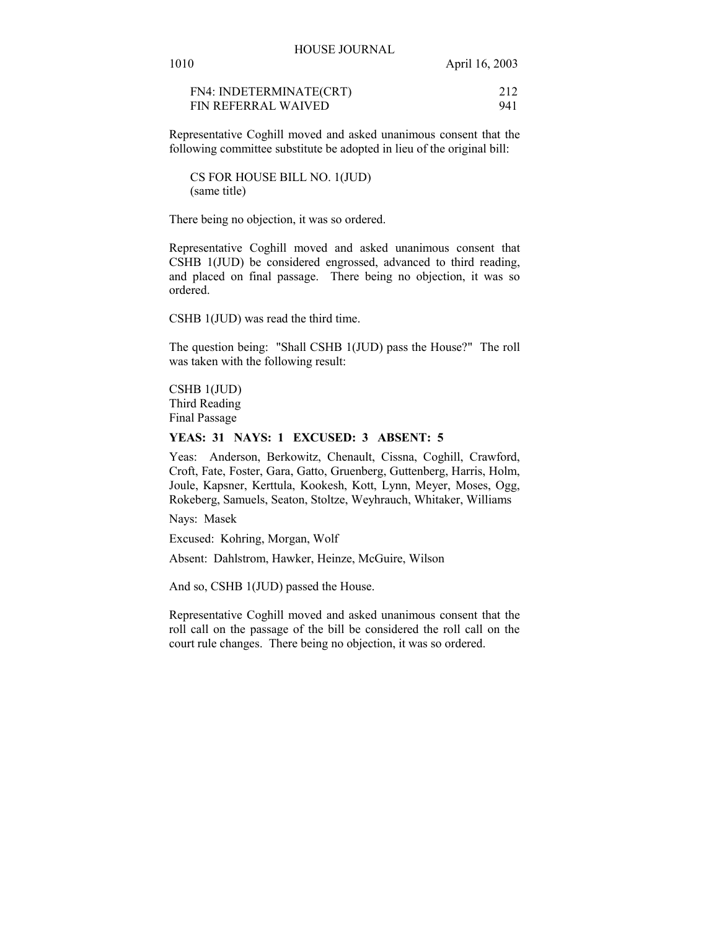| 1010                              | April 16, 2003 |
|-----------------------------------|----------------|
|                                   |                |
| $FMA \cdot INIDETEDMINIA TE/CPT)$ | 212            |

| FN4: INDETERMINATE(CRT)    |     |
|----------------------------|-----|
| <b>FIN REFERRAL WAIVED</b> | 941 |

Representative Coghill moved and asked unanimous consent that the following committee substitute be adopted in lieu of the original bill:

CS FOR HOUSE BILL NO. 1(JUD) (same title)

There being no objection, it was so ordered.

Representative Coghill moved and asked unanimous consent that CSHB 1(JUD) be considered engrossed, advanced to third reading, and placed on final passage. There being no objection, it was so ordered.

CSHB 1(JUD) was read the third time.

The question being: "Shall CSHB 1(JUD) pass the House?" The roll was taken with the following result:

CSHB 1(JUD) Third Reading Final Passage

#### **YEAS: 31 NAYS: 1 EXCUSED: 3 ABSENT: 5**

Yeas: Anderson, Berkowitz, Chenault, Cissna, Coghill, Crawford, Croft, Fate, Foster, Gara, Gatto, Gruenberg, Guttenberg, Harris, Holm, Joule, Kapsner, Kerttula, Kookesh, Kott, Lynn, Meyer, Moses, Ogg, Rokeberg, Samuels, Seaton, Stoltze, Weyhrauch, Whitaker, Williams

Nays: Masek

Excused: Kohring, Morgan, Wolf

Absent: Dahlstrom, Hawker, Heinze, McGuire, Wilson

And so, CSHB 1(JUD) passed the House.

Representative Coghill moved and asked unanimous consent that the roll call on the passage of the bill be considered the roll call on the court rule changes. There being no objection, it was so ordered.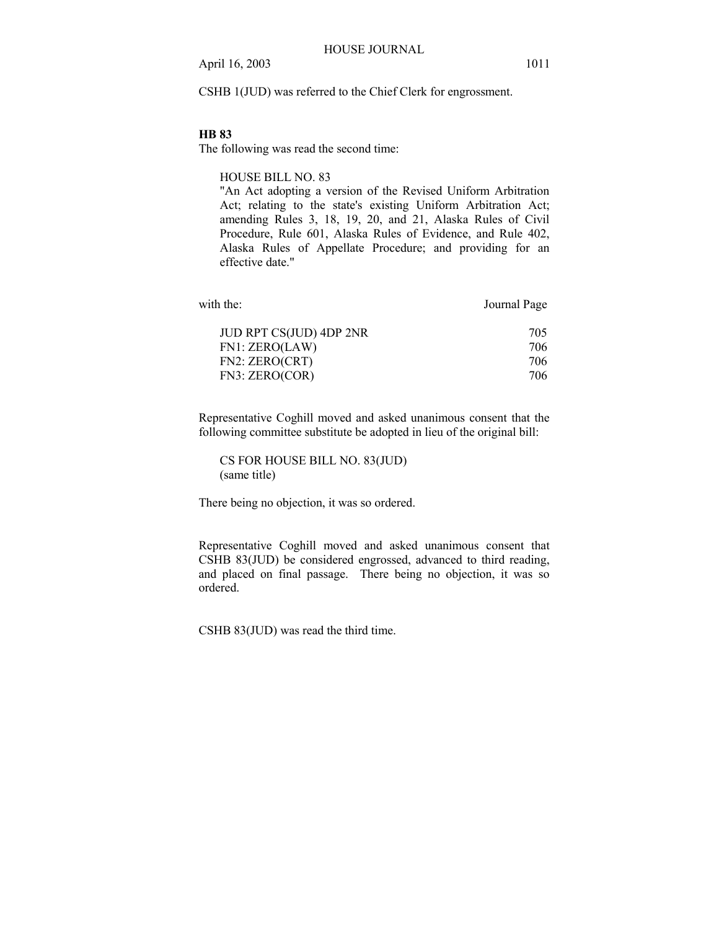CSHB 1(JUD) was referred to the Chief Clerk for engrossment.

#### **HB 83**

The following was read the second time:

HOUSE BILL NO. 83

"An Act adopting a version of the Revised Uniform Arbitration Act; relating to the state's existing Uniform Arbitration Act; amending Rules 3, 18, 19, 20, and 21, Alaska Rules of Civil Procedure, Rule 601, Alaska Rules of Evidence, and Rule 402, Alaska Rules of Appellate Procedure; and providing for an effective date."

| Journal Page |
|--------------|
| 705          |
| 706          |
| 706          |
| 706          |
|              |

Representative Coghill moved and asked unanimous consent that the following committee substitute be adopted in lieu of the original bill:

CS FOR HOUSE BILL NO. 83(JUD) (same title)

There being no objection, it was so ordered.

Representative Coghill moved and asked unanimous consent that CSHB 83(JUD) be considered engrossed, advanced to third reading, and placed on final passage. There being no objection, it was so ordered.

CSHB 83(JUD) was read the third time.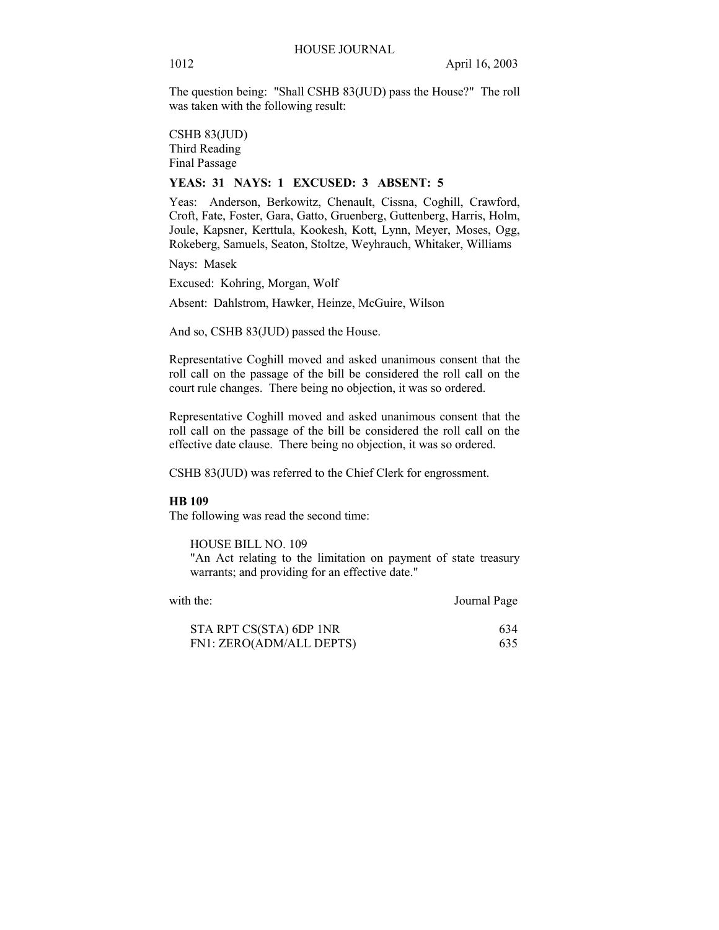The question being: "Shall CSHB 83(JUD) pass the House?" The roll was taken with the following result:

CSHB 83(JUD) Third Reading Final Passage

#### **YEAS: 31 NAYS: 1 EXCUSED: 3 ABSENT: 5**

Yeas: Anderson, Berkowitz, Chenault, Cissna, Coghill, Crawford, Croft, Fate, Foster, Gara, Gatto, Gruenberg, Guttenberg, Harris, Holm, Joule, Kapsner, Kerttula, Kookesh, Kott, Lynn, Meyer, Moses, Ogg, Rokeberg, Samuels, Seaton, Stoltze, Weyhrauch, Whitaker, Williams

Nays: Masek

Excused: Kohring, Morgan, Wolf

Absent: Dahlstrom, Hawker, Heinze, McGuire, Wilson

And so, CSHB 83(JUD) passed the House.

Representative Coghill moved and asked unanimous consent that the roll call on the passage of the bill be considered the roll call on the court rule changes. There being no objection, it was so ordered.

Representative Coghill moved and asked unanimous consent that the roll call on the passage of the bill be considered the roll call on the effective date clause. There being no objection, it was so ordered.

CSHB 83(JUD) was referred to the Chief Clerk for engrossment.

#### **HB 109**

The following was read the second time:

HOUSE BILL NO. 109

"An Act relating to the limitation on payment of state treasury warrants; and providing for an effective date."

| with the:                | Journal Page |
|--------------------------|--------------|
| STA RPT CS(STA) 6DP 1NR  | 634          |
| FN1: ZERO(ADM/ALL DEPTS) | 635          |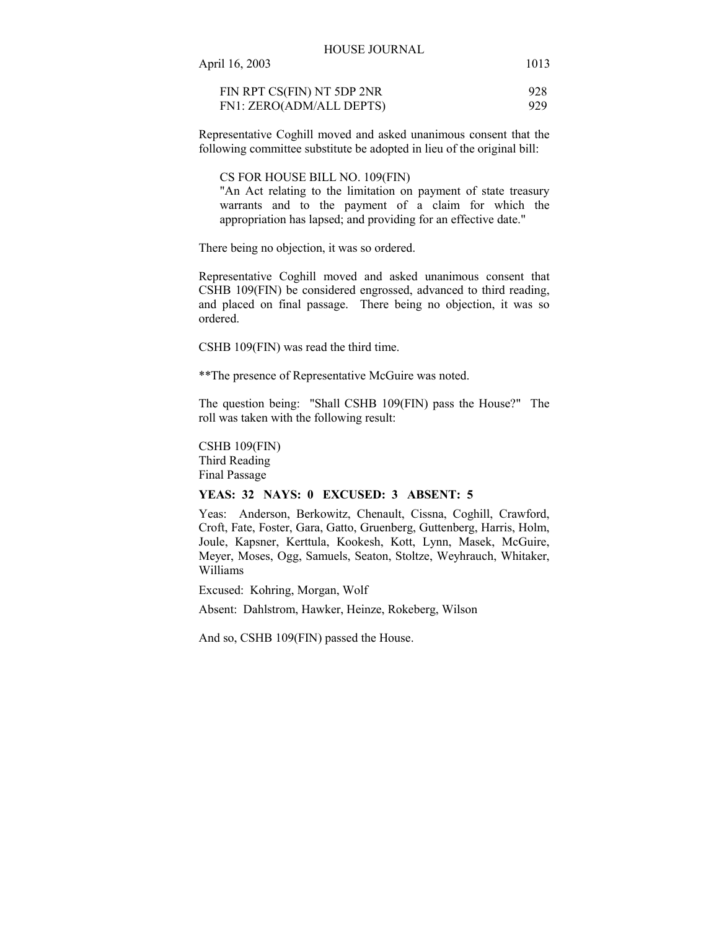| April 16, 2003             | 1013 |
|----------------------------|------|
| FIN RPT CS(FIN) NT 5DP 2NR | 928  |
| FN1: ZERO(ADM/ALL DEPTS)   | 929  |

Representative Coghill moved and asked unanimous consent that the following committee substitute be adopted in lieu of the original bill:

CS FOR HOUSE BILL NO. 109(FIN)

"An Act relating to the limitation on payment of state treasury warrants and to the payment of a claim for which the appropriation has lapsed; and providing for an effective date."

There being no objection, it was so ordered.

Representative Coghill moved and asked unanimous consent that CSHB 109(FIN) be considered engrossed, advanced to third reading, and placed on final passage. There being no objection, it was so ordered.

CSHB 109(FIN) was read the third time.

\*\*The presence of Representative McGuire was noted.

The question being: "Shall CSHB 109(FIN) pass the House?" The roll was taken with the following result:

CSHB 109(FIN) Third Reading Final Passage

## **YEAS: 32 NAYS: 0 EXCUSED: 3 ABSENT: 5**

Yeas: Anderson, Berkowitz, Chenault, Cissna, Coghill, Crawford, Croft, Fate, Foster, Gara, Gatto, Gruenberg, Guttenberg, Harris, Holm, Joule, Kapsner, Kerttula, Kookesh, Kott, Lynn, Masek, McGuire, Meyer, Moses, Ogg, Samuels, Seaton, Stoltze, Weyhrauch, Whitaker, Williams

Excused: Kohring, Morgan, Wolf

Absent: Dahlstrom, Hawker, Heinze, Rokeberg, Wilson

And so, CSHB 109(FIN) passed the House.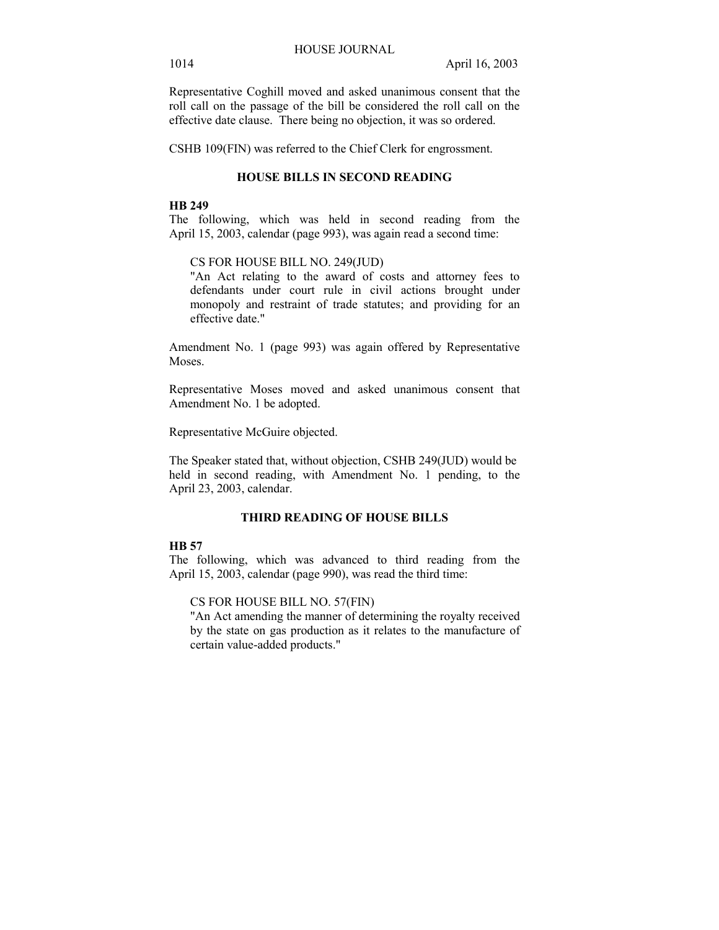Representative Coghill moved and asked unanimous consent that the roll call on the passage of the bill be considered the roll call on the effective date clause. There being no objection, it was so ordered.

CSHB 109(FIN) was referred to the Chief Clerk for engrossment.

#### **HOUSE BILLS IN SECOND READING**

#### **HB 249**

The following, which was held in second reading from the April 15, 2003, calendar (page 993), was again read a second time:

#### CS FOR HOUSE BILL NO. 249(JUD)

"An Act relating to the award of costs and attorney fees to defendants under court rule in civil actions brought under monopoly and restraint of trade statutes; and providing for an effective date."

Amendment No. 1 (page 993) was again offered by Representative Moses.

Representative Moses moved and asked unanimous consent that Amendment No. 1 be adopted.

Representative McGuire objected.

The Speaker stated that, without objection, CSHB 249(JUD) would be held in second reading, with Amendment No. 1 pending, to the April 23, 2003, calendar.

# **THIRD READING OF HOUSE BILLS**

# **HB 57**

The following, which was advanced to third reading from the April 15, 2003, calendar (page 990), was read the third time:

CS FOR HOUSE BILL NO. 57(FIN)

"An Act amending the manner of determining the royalty received by the state on gas production as it relates to the manufacture of certain value-added products."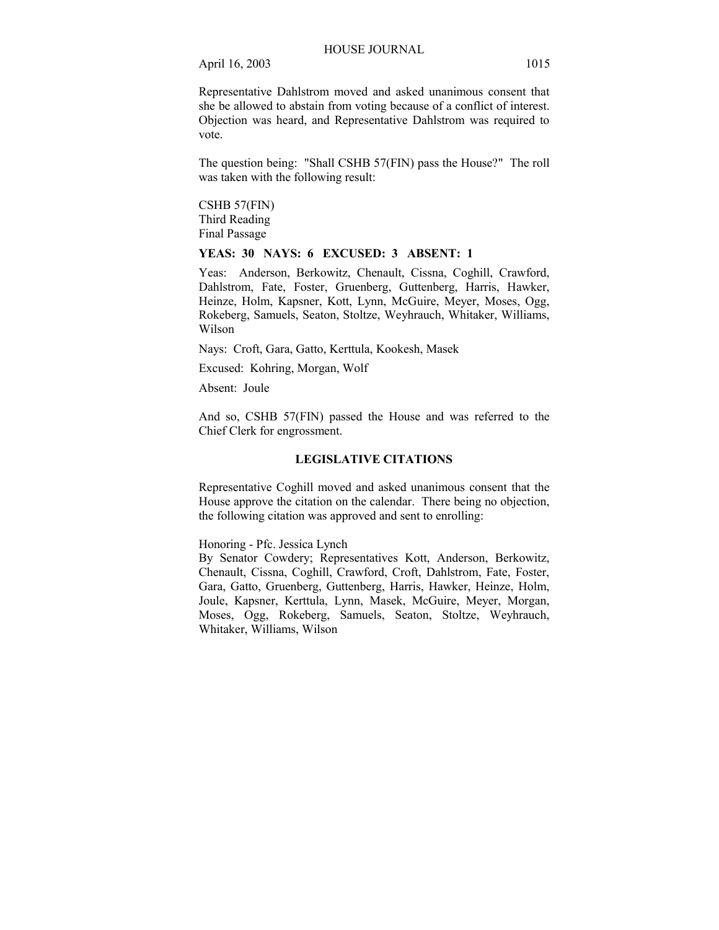Representative Dahlstrom moved and asked unanimous consent that she be allowed to abstain from voting because of a conflict of interest. Objection was heard, and Representative Dahlstrom was required to vote.

The question being: "Shall CSHB 57(FIN) pass the House?" The roll was taken with the following result:

CSHB 57(FIN) Third Reading Final Passage

# **YEAS: 30 NAYS: 6 EXCUSED: 3 ABSENT: 1**

Yeas: Anderson, Berkowitz, Chenault, Cissna, Coghill, Crawford, Dahlstrom, Fate, Foster, Gruenberg, Guttenberg, Harris, Hawker, Heinze, Holm, Kapsner, Kott, Lynn, McGuire, Meyer, Moses, Ogg, Rokeberg, Samuels, Seaton, Stoltze, Weyhrauch, Whitaker, Williams, Wilson

Nays: Croft, Gara, Gatto, Kerttula, Kookesh, Masek

Excused: Kohring, Morgan, Wolf

Absent: Joule

And so, CSHB 57(FIN) passed the House and was referred to the Chief Clerk for engrossment.

## **LEGISLATIVE CITATIONS**

Representative Coghill moved and asked unanimous consent that the House approve the citation on the calendar. There being no objection, the following citation was approved and sent to enrolling:

Honoring - Pfc. Jessica Lynch

By Senator Cowdery; Representatives Kott, Anderson, Berkowitz, Chenault, Cissna, Coghill, Crawford, Croft, Dahlstrom, Fate, Foster, Gara, Gatto, Gruenberg, Guttenberg, Harris, Hawker, Heinze, Holm, Joule, Kapsner, Kerttula, Lynn, Masek, McGuire, Meyer, Morgan, Moses, Ogg, Rokeberg, Samuels, Seaton, Stoltze, Weyhrauch, Whitaker, Williams, Wilson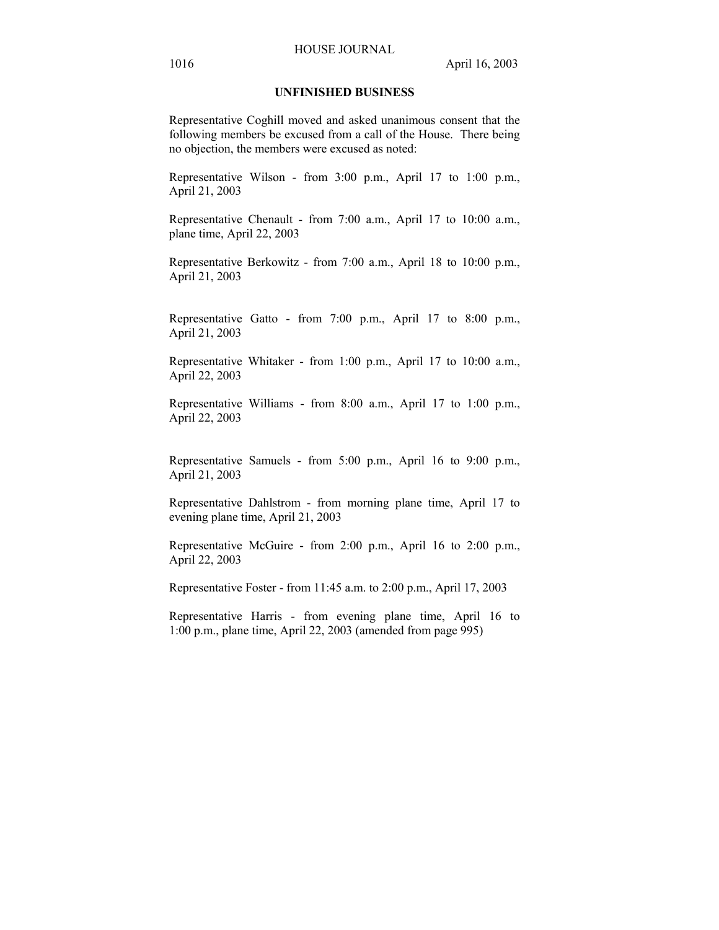#### HOUSE JOURNAL

# **UNFINISHED BUSINESS**

Representative Coghill moved and asked unanimous consent that the following members be excused from a call of the House. There being no objection, the members were excused as noted:

Representative Wilson - from 3:00 p.m., April 17 to 1:00 p.m., April 21, 2003

Representative Chenault - from 7:00 a.m., April 17 to 10:00 a.m., plane time, April 22, 2003

Representative Berkowitz - from 7:00 a.m., April 18 to 10:00 p.m., April 21, 2003

Representative Gatto - from 7:00 p.m., April 17 to 8:00 p.m., April 21, 2003

Representative Whitaker - from 1:00 p.m., April 17 to 10:00 a.m., April 22, 2003

Representative Williams - from 8:00 a.m., April 17 to 1:00 p.m., April 22, 2003

Representative Samuels - from 5:00 p.m., April 16 to 9:00 p.m., April 21, 2003

Representative Dahlstrom - from morning plane time, April 17 to evening plane time, April 21, 2003

Representative McGuire - from 2:00 p.m., April 16 to 2:00 p.m., April 22, 2003

Representative Foster - from 11:45 a.m. to 2:00 p.m., April 17, 2003

Representative Harris - from evening plane time, April 16 to 1:00 p.m., plane time, April 22, 2003 (amended from page 995)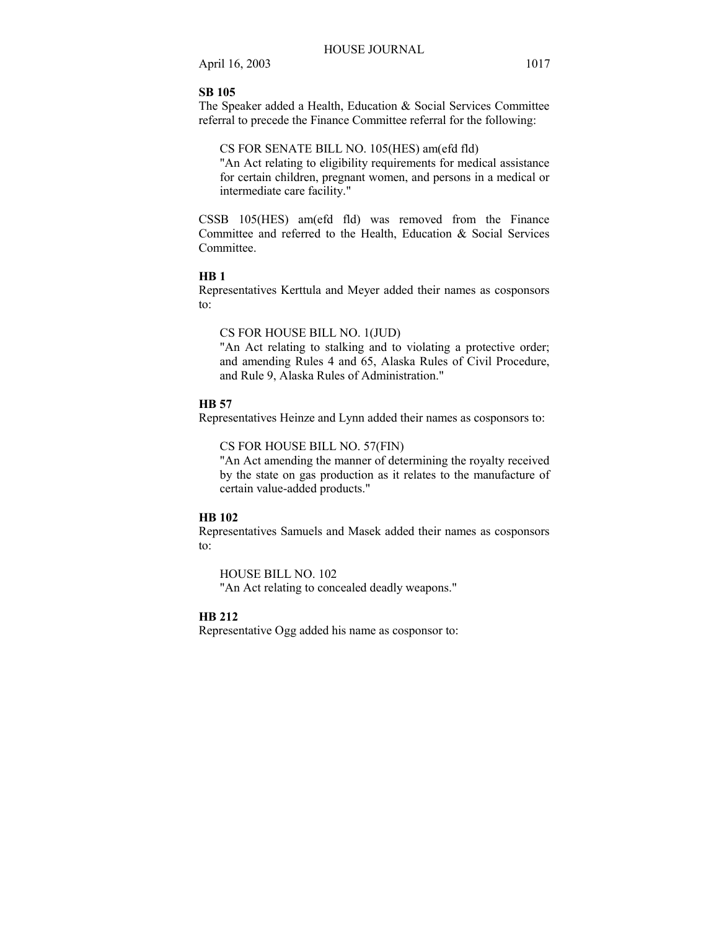## **SB 105**

The Speaker added a Health, Education & Social Services Committee referral to precede the Finance Committee referral for the following:

## CS FOR SENATE BILL NO. 105(HES) am(efd fld)

"An Act relating to eligibility requirements for medical assistance for certain children, pregnant women, and persons in a medical or intermediate care facility."

CSSB 105(HES) am(efd fld) was removed from the Finance Committee and referred to the Health, Education & Social Services Committee.

#### **HB 1**

Representatives Kerttula and Meyer added their names as cosponsors to:

# CS FOR HOUSE BILL NO. 1(JUD)

"An Act relating to stalking and to violating a protective order; and amending Rules 4 and 65, Alaska Rules of Civil Procedure, and Rule 9, Alaska Rules of Administration."

#### **HB 57**

Representatives Heinze and Lynn added their names as cosponsors to:

#### CS FOR HOUSE BILL NO. 57(FIN)

"An Act amending the manner of determining the royalty received by the state on gas production as it relates to the manufacture of certain value-added products."

#### **HB 102**

Representatives Samuels and Masek added their names as cosponsors to:

HOUSE BILL NO. 102 "An Act relating to concealed deadly weapons."

#### **HB 212**

Representative Ogg added his name as cosponsor to: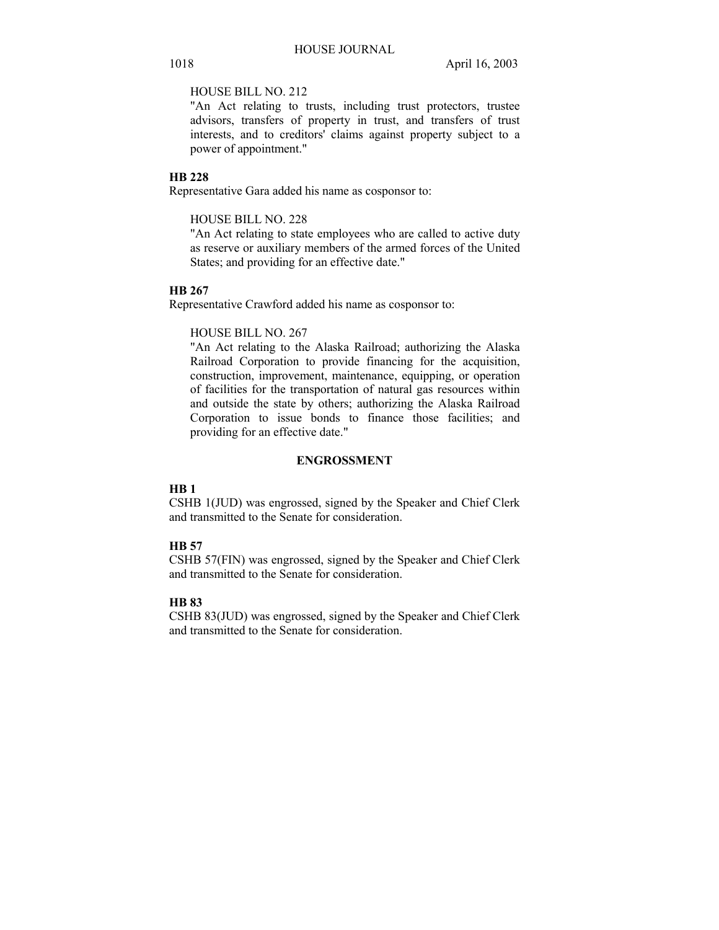# HOUSE BILL NO. 212

"An Act relating to trusts, including trust protectors, trustee advisors, transfers of property in trust, and transfers of trust interests, and to creditors' claims against property subject to a power of appointment."

# **HB 228**

Representative Gara added his name as cosponsor to:

#### HOUSE BILL NO. 228

"An Act relating to state employees who are called to active duty as reserve or auxiliary members of the armed forces of the United States; and providing for an effective date."

## **HB 267**

Representative Crawford added his name as cosponsor to:

#### HOUSE BILL NO. 267

"An Act relating to the Alaska Railroad; authorizing the Alaska Railroad Corporation to provide financing for the acquisition, construction, improvement, maintenance, equipping, or operation of facilities for the transportation of natural gas resources within and outside the state by others; authorizing the Alaska Railroad Corporation to issue bonds to finance those facilities; and providing for an effective date."

# **ENGROSSMENT**

# **HB 1**

CSHB 1(JUD) was engrossed, signed by the Speaker and Chief Clerk and transmitted to the Senate for consideration.

# **HB 57**

CSHB 57(FIN) was engrossed, signed by the Speaker and Chief Clerk and transmitted to the Senate for consideration.

# **HB 83**

CSHB 83(JUD) was engrossed, signed by the Speaker and Chief Clerk and transmitted to the Senate for consideration.